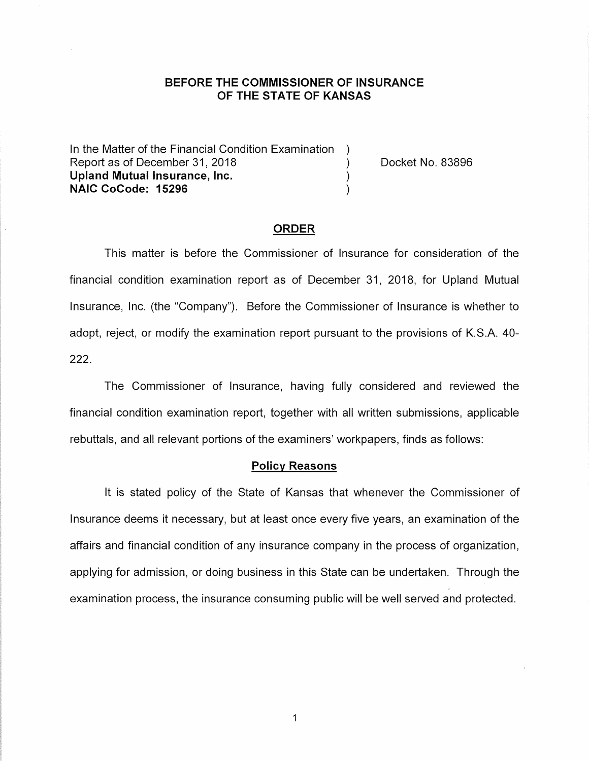### **BEFORE THE COMMISSIONER OF INSURANCE OF THE STATE OF KANSAS**

In the Matter of the Financial Condition Examination Report as of December 31, 2018 (a) The Cooket No. 83896 **Upland Mutual Insurance, Inc.** ) **NAIC CoCode: 15296** )

#### **ORDER**

This matter is before the Commissioner of Insurance for consideration of the financial condition examination report as of December 31, 2018, for Upland Mutual Insurance, Inc. (the "Company"). Before the Commissioner of Insurance is whether to adopt, reject, or modify the examination report pursuant to the provisions of K.S.A. 40- 222.

The Commissioner of Insurance, having fully considered and reviewed the financial condition examination report, together with all written submissions, applicable rebuttals, and all relevant portions of the examiners' workpapers, finds as follows:

### **Policy Reasons**

It is stated policy of the State of Kansas that whenever the Commissioner of Insurance deems it necessary, but at least once every five years, an examination of the affairs and financial condition of any insurance company in the process of organization, applying for admission, or doing business in this State can be undertaken. Through the examination process, the insurance consuming public will be well served and protected.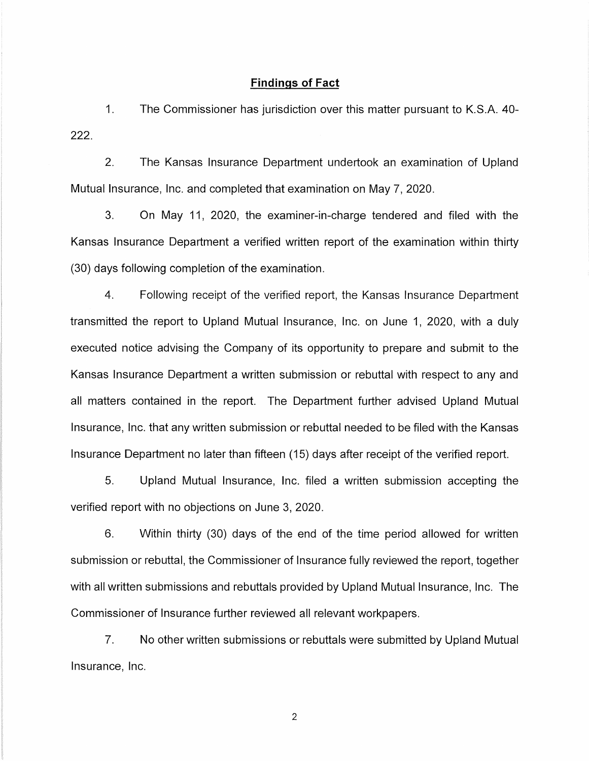#### **Findings of Fact**

1. The Commissioner has jurisdiction over this matter pursuant to K.S.A. 40- 222.

2. The Kansas Insurance Department undertook an examination of Upland Mutual Insurance, Inc. and completed that examination on May 7, 2020.

3. On May 11, 2020, the examiner-in-charge tendered and filed with the Kansas Insurance Department a verified written report of the examination within thirty (30) days following completion of the examination.

4. Following receipt of the verified report, the Kansas Insurance Department transmitted the report to Upland Mutual Insurance, Inc. on June 1, 2020, with a duly executed notice advising the Company of its opportunity to prepare and submit to the Kansas Insurance Department a written submission or rebuttal with respect to any and all matters contained in the report. The Department further advised Upland Mutual Insurance, Inc. that any written submission or rebuttal needed to be filed with the Kansas Insurance Department no later than fifteen (15) days after receipt of the verified report.

5. Upland Mutual Insurance, Inc. filed a written submission accepting the verified report with no objections on June 3, 2020.

6. Within thirty (30) days of the end of the time period allowed for written submission or rebuttal, the Commissioner of Insurance fully reviewed the report, together with all written submissions and rebuttals provided by Upland Mutual Insurance, Inc. The Commissioner of Insurance further reviewed all relevant workpapers.

7. No other written submissions or rebuttals were submitted by Upland Mutual Insurance, Inc.

2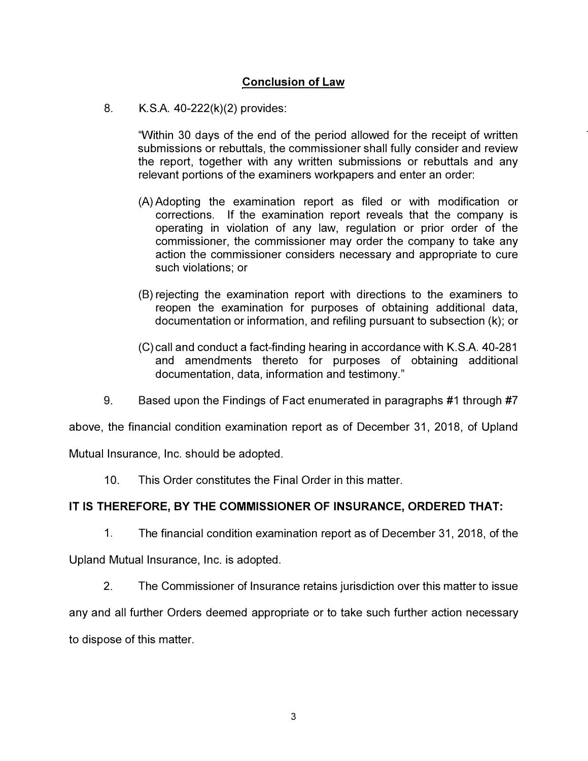# **Conclusion of Law**

8. K.S.A. 40-222(k)(2) provides:

"Within 30 days of the end of the period allowed for the receipt of written submissions or rebuttals, the commissioner shall fully consider and review the report, together with any written submissions or rebuttals and any relevant portions of the examiners workpapers and enter an order:

- (A) Adopting the examination report as filed or with modification or corrections. If the examination report reveals that the company is operating in violation of any law, regulation or prior order of the commissioner, the commissioner may order the company to take any action the commissioner considers necessary and appropriate to cure such violations; or
- (B) rejecting the examination report with directions to the examiners to reopen the examination for purposes of obtaining additional data, documentation or information, and refiling pursuant to subsection (k); or
- (C) call and conduct a fact-finding hearing in accordance with K.S.A. 40-281 and amendments thereto for purposes of obtaining additional documentation, data, information and testimony."
- 9. Based upon the Findings of Fact enumerated in paragraphs #1 through #7

above, the financial condition examination report as of December 31, 2018, of Upland

Mutual Insurance, Inc. should be adopted.

10. This Order constitutes the Final Order in this matter.

## **IT IS THEREFORE, BY THE COMMISSIONER OF INSURANCE, ORDERED THAT:**

1. The financial condition examination report as of December 31, 2018, of the

Upland Mutual Insurance, Inc. is adopted.

2. The Commissioner of Insurance retains jurisdiction over this matter to issue

any and all further Orders deemed appropriate or to take such further action necessary to dispose of this matter.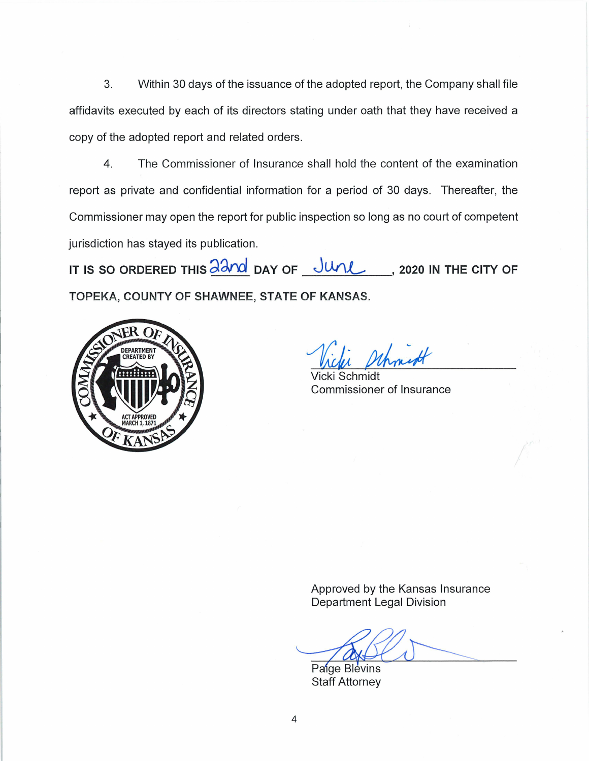3. Within 30 days of the issuance of the adopted report, the Company shall file affidavits executed by each of its directors stating under oath that they have received a copy of the adopted report and related orders.

4. The Commissioner of Insurance shall hold the content of the examination report as private and confidential information for a period of 30 days. Thereafter, the Commissioner may open the report for public inspection so long as no court of competent jurisdiction has stayed its publication.

**IT IS SO ORDERED THIS**  $\frac{\partial \partial n}{\partial x}$  **DAY OF**  $\frac{\partial n}{\partial x}$ **, 2020 IN THE CITY OF TOPEKA, COUNTY OF SHAWNEE, STATE OF KANSAS.** 



Whought

Vicki Schmidt Commissioner of Insurance

Approved by the Kansas Insurance Department Legal Division

Paige Blevins<br>Paige Blevins<br>Staff Attorney  $\overline{\phantom{a}}$ 

**Staff Attorney**